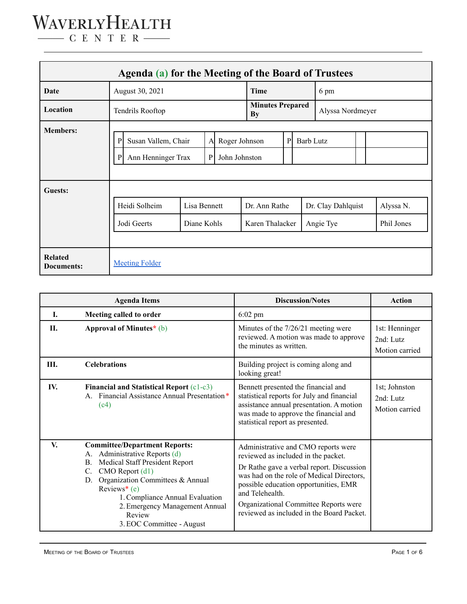| Agenda (a) for the Meeting of the Board of Trustees |                                                                                                                       |                             |  |                               |                                  |                  |      |                                 |  |                         |
|-----------------------------------------------------|-----------------------------------------------------------------------------------------------------------------------|-----------------------------|--|-------------------------------|----------------------------------|------------------|------|---------------------------------|--|-------------------------|
| Date                                                | August 30, 2021                                                                                                       |                             |  | Time                          |                                  |                  | 6 pm |                                 |  |                         |
| Location                                            | Tendrils Rooftop                                                                                                      |                             |  | <b>Minutes Prepared</b><br>By |                                  | Alyssa Nordmeyer |      |                                 |  |                         |
| <b>Members:</b>                                     | P<br>Roger Johnson<br>Susan Vallem, Chair<br>$\mathbf{A}$<br>Ann Henninger Trax<br>$\mathbf{P}$<br>John Johnston<br>P |                             |  | P                             | <b>Barb Lutz</b>                 |                  |      |                                 |  |                         |
| Guests:                                             | Heidi Solheim<br>Jodi Geerts                                                                                          | Lisa Bennett<br>Diane Kohls |  |                               | Dr. Ann Rathe<br>Karen Thalacker |                  |      | Dr. Clay Dahlquist<br>Angie Tye |  | Alyssa N.<br>Phil Jones |
| <b>Related</b><br><b>Documents:</b>                 | <b>Meeting Folder</b>                                                                                                 |                             |  |                               |                                  |                  |      |                                 |  |                         |

|      | <b>Agenda Items</b>                                                                                                                                                                                                                                                                                                                             | <b>Discussion/Notes</b>                                                                                                                                                                                                                                                                                                | <b>Action</b>                                  |
|------|-------------------------------------------------------------------------------------------------------------------------------------------------------------------------------------------------------------------------------------------------------------------------------------------------------------------------------------------------|------------------------------------------------------------------------------------------------------------------------------------------------------------------------------------------------------------------------------------------------------------------------------------------------------------------------|------------------------------------------------|
| I.   | Meeting called to order                                                                                                                                                                                                                                                                                                                         | $6:02$ pm                                                                                                                                                                                                                                                                                                              |                                                |
| П.   | Approval of Minutes* (b)                                                                                                                                                                                                                                                                                                                        | Minutes of the 7/26/21 meeting were<br>reviewed. A motion was made to approve<br>the minutes as written.                                                                                                                                                                                                               | 1st: Henninger<br>$2nd$ Lutz<br>Motion carried |
| III. | <b>Celebrations</b>                                                                                                                                                                                                                                                                                                                             | Building project is coming along and<br>looking great!                                                                                                                                                                                                                                                                 |                                                |
| IV.  | <b>Financial and Statistical Report (c1-c3)</b><br>Financial Assistance Annual Presentation*<br>(c4)                                                                                                                                                                                                                                            | Bennett presented the financial and<br>statistical reports for July and financial<br>assistance annual presentation. A motion<br>was made to approve the financial and<br>statistical report as presented.                                                                                                             | 1st; Johnston<br>2nd: Lutz<br>Motion carried   |
| V.   | <b>Committee/Department Reports:</b><br>Administrative Reports (d)<br>А.<br><b>Medical Staff President Report</b><br>B.<br>$CMO$ Report $(d1)$<br>$C_{\cdot}$<br>Organization Committees & Annual<br>D.<br>Reviews <sup>*</sup> (e)<br>1. Compliance Annual Evaluation<br>2. Emergency Management Annual<br>Review<br>3. EOC Committee - August | Administrative and CMO reports were<br>reviewed as included in the packet.<br>Dr Rathe gave a verbal report. Discussion<br>was had on the role of Medical Directors,<br>possible education opportunities, EMR<br>and Telehealth.<br>Organizational Committee Reports were<br>reviewed as included in the Board Packet. |                                                |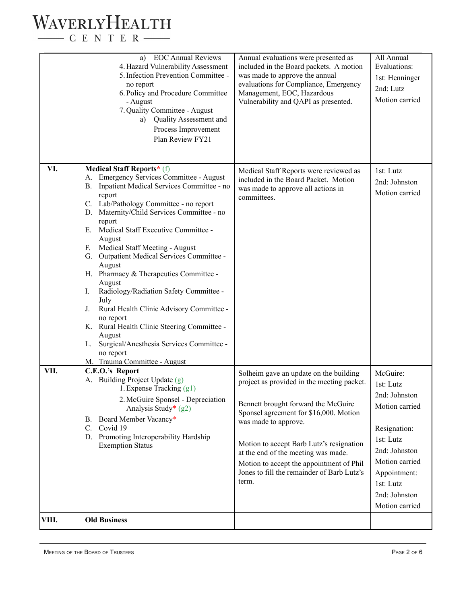#### WAVERLYHEALTH  $\begin{tabular}{c} \quad \quad \textbf{C} \quad E \quad N \quad T \quad E \quad R \end{tabular}$

| VIII.       | <b>Old Business</b>                                                                                                                                                                                                                                                                                                                                                                                                                                                                                                                                                                                                                                                                                                                                                        |                                                                                                                                                                                                                                                                                                                                                                                     |                                                                                                                                                                                          |
|-------------|----------------------------------------------------------------------------------------------------------------------------------------------------------------------------------------------------------------------------------------------------------------------------------------------------------------------------------------------------------------------------------------------------------------------------------------------------------------------------------------------------------------------------------------------------------------------------------------------------------------------------------------------------------------------------------------------------------------------------------------------------------------------------|-------------------------------------------------------------------------------------------------------------------------------------------------------------------------------------------------------------------------------------------------------------------------------------------------------------------------------------------------------------------------------------|------------------------------------------------------------------------------------------------------------------------------------------------------------------------------------------|
|             | A. Building Project Update (g)<br>1. Expense Tracking $(g1)$<br>2. McGuire Sponsel - Depreciation<br>Analysis Study* (g2)<br>B. Board Member Vacancy*<br>C. Covid 19<br>D. Promoting Interoperability Hardship<br><b>Exemption Status</b>                                                                                                                                                                                                                                                                                                                                                                                                                                                                                                                                  | Solheim gave an update on the building<br>project as provided in the meeting packet.<br>Bennett brought forward the McGuire<br>Sponsel agreement for \$16,000. Motion<br>was made to approve.<br>Motion to accept Barb Lutz's resignation<br>at the end of the meeting was made.<br>Motion to accept the appointment of Phil<br>Jones to fill the remainder of Barb Lutz's<br>term. | McGuire:<br>1st: Lutz<br>2nd: Johnston<br>Motion carried<br>Resignation:<br>1st: Lutz<br>2nd: Johnston<br>Motion carried<br>Appointment:<br>1st: Lutz<br>2nd: Johnston<br>Motion carried |
| VI.<br>VII. | <b>Medical Staff Reports*</b> (f)<br><b>Emergency Services Committee - August</b><br>Inpatient Medical Services Committee - no<br><b>B.</b><br>report<br>C. Lab/Pathology Committee - no report<br>D. Maternity/Child Services Committee - no<br>report<br>E. Medical Staff Executive Committee -<br>August<br>Medical Staff Meeting - August<br>F.<br>G. Outpatient Medical Services Committee -<br>August<br>H. Pharmacy & Therapeutics Committee -<br>August<br>Radiology/Radiation Safety Committee -<br>I.<br>July<br>Rural Health Clinic Advisory Committee -<br>$J_{\cdot}$<br>no report<br>K. Rural Health Clinic Steering Committee -<br>August<br>Surgical/Anesthesia Services Committee -<br>L.<br>no report<br>M. Trauma Committee - August<br>C.E.O.'s Report | Medical Staff Reports were reviewed as<br>included in the Board Packet. Motion<br>was made to approve all actions in<br>committees.                                                                                                                                                                                                                                                 | 1st: Lutz<br>2nd: Johnston<br>Motion carried                                                                                                                                             |
|             | <b>EOC Annual Reviews</b><br>a)<br>4. Hazard Vulnerability Assessment<br>5. Infection Prevention Committee -<br>no report<br>6. Policy and Procedure Committee<br>- August<br>7. Quality Committee - August<br>a) Quality Assessment and<br>Process Improvement<br>Plan Review FY21                                                                                                                                                                                                                                                                                                                                                                                                                                                                                        | Annual evaluations were presented as<br>included in the Board packets. A motion<br>was made to approve the annual<br>evaluations for Compliance, Emergency<br>Management, EOC, Hazardous<br>Vulnerability and QAPI as presented.                                                                                                                                                    | All Annual<br>Evaluations:<br>1st: Henninger<br>2nd: Lutz<br>Motion carried                                                                                                              |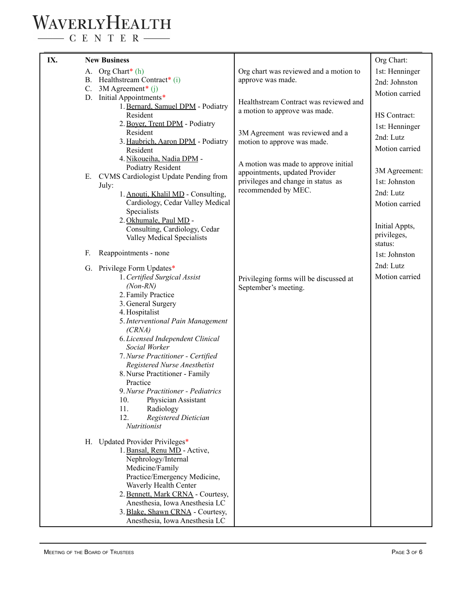### WAVERLYHEALTH

 $\begin{tabular}{c} \quad \quad \textbf{C} \textbf{E} \textbf{N} \textbf{T} \textbf{E} \textbf{R} \end{tabular}$ 

| IX. | <b>New Business</b>                                                |                                                                        | Org Chart:                      |
|-----|--------------------------------------------------------------------|------------------------------------------------------------------------|---------------------------------|
|     | A. Org Chart* (h)<br>B. Healthstream Contract* (i)                 | Org chart was reviewed and a motion to<br>approve was made.            | 1st: Henninger                  |
|     | C. $3M$ Agreement <sup>*</sup> (j)                                 |                                                                        | 2nd: Johnston<br>Motion carried |
|     | D. Initial Appointments*                                           | Healthstream Contract was reviewed and                                 |                                 |
|     | 1. Bernard, Samuel DPM - Podiatry<br>Resident                      | a motion to approve was made.                                          | HS Contract:                    |
|     | 2. Boyer, Trent DPM - Podiatry                                     |                                                                        | 1st: Henninger                  |
|     | Resident                                                           | 3M Agreement was reviewed and a                                        | 2nd: Lutz                       |
|     | 3. Haubrich, Aaron DPM - Podiatry<br>Resident                      | motion to approve was made.                                            | Motion carried                  |
|     | 4. Nikoueiha, Nadia DPM -                                          |                                                                        |                                 |
|     | <b>Podiatry Resident</b>                                           | A motion was made to approve initial<br>appointments, updated Provider | 3M Agreement:                   |
|     | E. CVMS Cardiologist Update Pending from                           | privileges and change in status as                                     | 1st: Johnston                   |
|     | July:<br>1. Anouti, Khalil MD - Consulting,                        | recommended by MEC.                                                    | 2nd: Lutz                       |
|     | Cardiology, Cedar Valley Medical                                   |                                                                        | Motion carried                  |
|     | Specialists                                                        |                                                                        |                                 |
|     | 2. Okhumale, Paul MD -<br>Consulting, Cardiology, Cedar            |                                                                        | Initial Appts,                  |
|     | Valley Medical Specialists                                         |                                                                        | privileges,                     |
|     | F.<br>Reappointments - none                                        |                                                                        | status:<br>1st: Johnston        |
|     |                                                                    |                                                                        | 2nd: Lutz                       |
|     | G. Privilege Form Updates*<br>1. Certified Surgical Assist         |                                                                        | Motion carried                  |
|     | $(Non-RN)$                                                         | Privileging forms will be discussed at<br>September's meeting.         |                                 |
|     | 2. Family Practice                                                 |                                                                        |                                 |
|     | 3. General Surgery<br>4. Hospitalist                               |                                                                        |                                 |
|     | 5. Interventional Pain Management                                  |                                                                        |                                 |
|     | (CRNA)                                                             |                                                                        |                                 |
|     | 6. Licensed Independent Clinical<br>Social Worker                  |                                                                        |                                 |
|     | 7. Nurse Practitioner - Certified                                  |                                                                        |                                 |
|     | Registered Nurse Anesthetist                                       |                                                                        |                                 |
|     | 8. Nurse Practitioner - Family<br>Practice                         |                                                                        |                                 |
|     | 9. Nurse Practitioner - Pediatrics                                 |                                                                        |                                 |
|     | 10.<br>Physician Assistant                                         |                                                                        |                                 |
|     | 11.<br>Radiology<br>12.<br>Registered Dietician                    |                                                                        |                                 |
|     | <b>Nutritionist</b>                                                |                                                                        |                                 |
|     | H. Updated Provider Privileges*                                    |                                                                        |                                 |
|     | 1. Bansal, Renu MD - Active,                                       |                                                                        |                                 |
|     | Nephrology/Internal                                                |                                                                        |                                 |
|     | Medicine/Family<br>Practice/Emergency Medicine,                    |                                                                        |                                 |
|     | Waverly Health Center                                              |                                                                        |                                 |
|     | 2. Bennett, Mark CRNA - Courtesy,                                  |                                                                        |                                 |
|     | Anesthesia, Iowa Anesthesia LC<br>3. Blake, Shawn CRNA - Courtesy, |                                                                        |                                 |
|     | Anesthesia, Iowa Anesthesia LC                                     |                                                                        |                                 |
|     |                                                                    |                                                                        |                                 |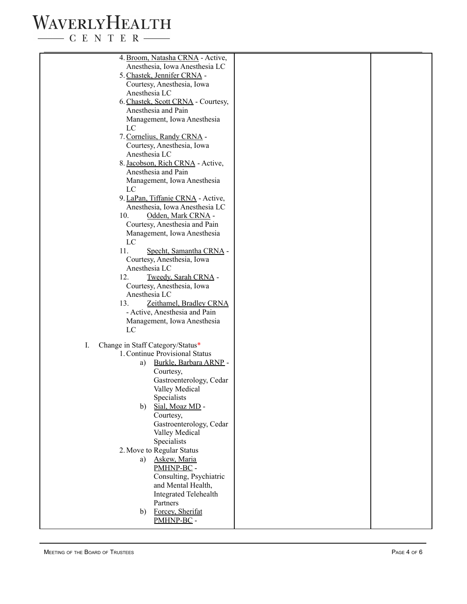## WAVERLYHEALTH

 $\begin{tabular}{c} \quad \quad \textbf{C} \text{ E} \text{ N} \text{ T} \text{ E} \text{ R} \end{tabular}$ 

| 4. Broom, Natasha CRNA - Active,<br>Anesthesia, Iowa Anesthesia LC<br>5. Chastek, Jennifer CRNA -<br>Courtesy, Anesthesia, Iowa<br>Anesthesia LC<br>6. Chastek, Scott CRNA - Courtesy,<br>Anesthesia and Pain<br>Management, Iowa Anesthesia<br>LC<br>7. Cornelius, Randy CRNA -<br>Courtesy, Anesthesia, Iowa<br>Anesthesia LC<br>8. Jacobson, Rich CRNA - Active,<br>Anesthesia and Pain<br>Management, Iowa Anesthesia<br>LC<br>9. LaPan, Tiffanie CRNA - Active,<br>Anesthesia, Iowa Anesthesia LC<br>10.<br>Odden, Mark CRNA -<br>Courtesy, Anesthesia and Pain<br>Management, Iowa Anesthesia<br>LC<br>11.<br>Specht, Samantha CRNA -<br>Courtesy, Anesthesia, Iowa<br>Anesthesia LC<br>12.<br>Tweedy, Sarah CRNA -<br>Courtesy, Anesthesia, Iowa<br>Anesthesia LC<br>13.<br>Zeithamel, Bradley CRNA<br>- Active, Anesthesia and Pain<br>Management, Iowa Anesthesia<br>LC<br>Change in Staff Category/Status*<br>I.<br>1. Continue Provisional Status<br>Burkle, Barbara ARNP -<br>a)<br>Courtesy,<br>Gastroenterology, Cedar<br>Valley Medical<br>Specialists<br>Sial, Moaz MD -<br>b)<br>Courtesy,<br>Gastroenterology, Cedar<br>Valley Medical<br>Specialists<br>2. Move to Regular Status<br>Askew, Maria<br>a)<br>PMHNP-BC -<br>Consulting, Psychiatric<br>and Mental Health,<br><b>Integrated Telehealth</b><br>Partners<br>Forcey, Sherifat<br>b)<br>PMHNP-BC - |  |  |
|-------------------------------------------------------------------------------------------------------------------------------------------------------------------------------------------------------------------------------------------------------------------------------------------------------------------------------------------------------------------------------------------------------------------------------------------------------------------------------------------------------------------------------------------------------------------------------------------------------------------------------------------------------------------------------------------------------------------------------------------------------------------------------------------------------------------------------------------------------------------------------------------------------------------------------------------------------------------------------------------------------------------------------------------------------------------------------------------------------------------------------------------------------------------------------------------------------------------------------------------------------------------------------------------------------------------------------------------------------------------------------|--|--|
|                                                                                                                                                                                                                                                                                                                                                                                                                                                                                                                                                                                                                                                                                                                                                                                                                                                                                                                                                                                                                                                                                                                                                                                                                                                                                                                                                                               |  |  |
|                                                                                                                                                                                                                                                                                                                                                                                                                                                                                                                                                                                                                                                                                                                                                                                                                                                                                                                                                                                                                                                                                                                                                                                                                                                                                                                                                                               |  |  |
|                                                                                                                                                                                                                                                                                                                                                                                                                                                                                                                                                                                                                                                                                                                                                                                                                                                                                                                                                                                                                                                                                                                                                                                                                                                                                                                                                                               |  |  |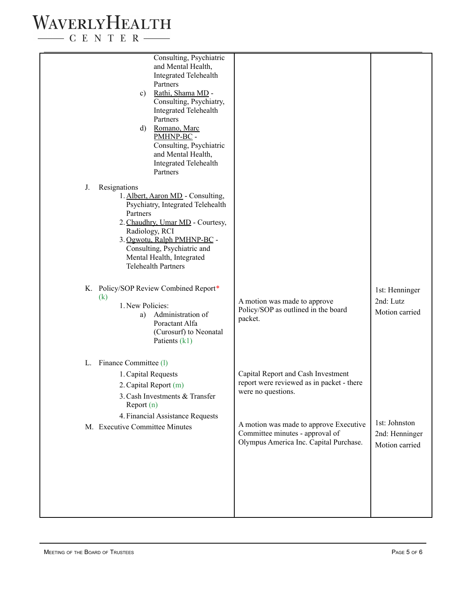#### WAVERLYHEALTH  $-$  C E N T E R  $-$

Consulting, Psychiatric and Mental Health, Integrated Telehealth Partners c) Rathi, Shama MD - Consulting, Psychiatry, Integrated Telehealth Partners d) Romano, Marc PMHNP-BC - Consulting, Psychiatric and Mental Health, Integrated Telehealth Partners J. Resignations 1. Albert, Aaron MD - Consulting, Psychiatry, Integrated Telehealth Partners 2.Chaudhry, Umar MD - Courtesy, Radiology, RCI 3. Ogwotu, Ralph PMHNP-BC - Consulting, Psychiatric and Mental Health, Integrated Telehealth Partners K. Policy/SOP Review Combined Report\* (k) 1. New Policies: a) Administration of Poractant Alfa (Curosurf) to Neonatal Patients (k1) L. Finance Committee (l) 1.Capital Requests 2.Capital Report (m) 3.Cash Investments & Transfer Report (n) 4. Financial Assistance Requests M. Executive Committee Minutes A motion was made to approve Policy/SOP as outlined in the board packet. Capital Report and Cash Investment report were reviewed as in packet - there were no questions. A motion was made to approve Executive Committee minutes - approval of Olympus America Inc. Capital Purchase. 1st: Henninger 2nd: Lutz Motion carried 1st: Johnston 2nd: Henninger Motion carried